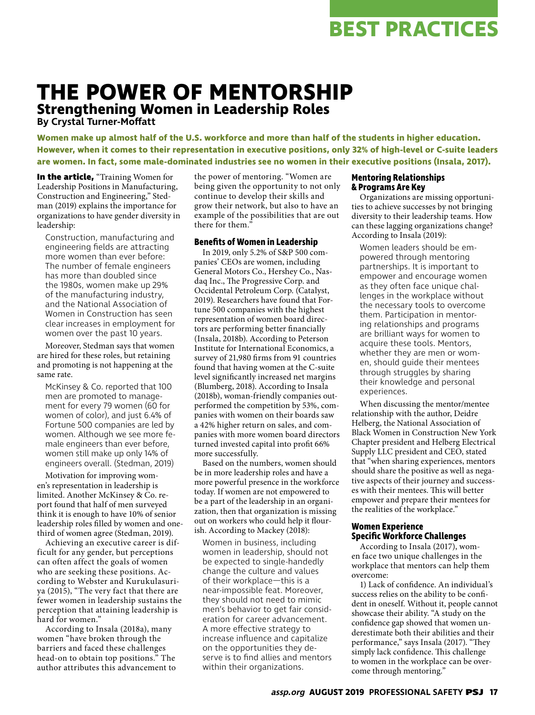## **BEST PRACTICES**

### **THE POWER OF MENTORSHIP Strengthening Women in Leadership Roles**

**By Crystal Turner-Moffatt**

**Women make up almost half of the U.S. workforce and more than half of the students in higher education. However, when it comes to their representation in executive positions, only 32% of high-level or C-suite leaders are women. In fact, some male-dominated industries see no women in their executive positions (Insala, 2017).**

**In the article,** "Training Women for Leadership Positions in Manufacturing, Construction and Engineering," Stedman (2019) explains the importance for organizations to have gender diversity in leadership:

Construction, manufacturing and engineering fields are attracting more women than ever before: The number of female engineers has more than doubled since the 1980s, women make up 29% of the manufacturing industry, and the National Association of Women in Construction has seen clear increases in employment for women over the past 10 years.

Moreover, Stedman says that women are hired for these roles, but retaining and promoting is not happening at the same rate.

McKinsey & Co. reported that 100 men are promoted to management for every 79 women (60 for women of color), and just 6.4% of Fortune 500 companies are led by women. Although we see more female engineers than ever before, women still make up only 14% of engineers overall. (Stedman, 2019)

Motivation for improving women's representation in leadership is limited. Another McKinsey & Co. report found that half of men surveyed think it is enough to have 10% of senior leadership roles filled by women and onethird of women agree (Stedman, 2019).

Achieving an executive career is difficult for any gender, but perceptions can often affect the goals of women who are seeking these positions. According to Webster and Kurukulasuriya (2015), "The very fact that there are fewer women in leadership sustains the perception that attaining leadership is hard for women."

According to Insala (2018a), many women "have broken through the barriers and faced these challenges head-on to obtain top positions." The author attributes this advancement to the power of mentoring. "Women are being given the opportunity to not only continue to develop their skills and grow their network, but also to have an example of the possibilities that are out there for them."

#### **Benefits of Women in Leadership**

In 2019, only 5.2% of S&P 500 companies' CEOs are women, including General Motors Co., Hershey Co., Nasdaq Inc., The Progressive Corp. and Occidental Petroleum Corp. (Catalyst, 2019). Researchers have found that Fortune 500 companies with the highest representation of women board directors are performing better financially (Insala, 2018b). According to Peterson Institute for International Economics, a survey of 21,980 firms from 91 countries found that having women at the C-suite level significantly increased net margins (Blumberg, 2018). According to Insala (2018b), woman-friendly companies outperformed the competition by 53%, companies with women on their boards saw a 42% higher return on sales, and companies with more women board directors turned invested capital into profit 66% more successfully.

Based on the numbers, women should be in more leadership roles and have a more powerful presence in the workforce today. If women are not empowered to be a part of the leadership in an organization, then that organization is missing out on workers who could help it flourish. According to Mackey (2018):

Women in business, including women in leadership, should not be expected to single-handedly change the culture and values of their workplace—this is a near-impossible feat. Moreover, they should not need to mimic men's behavior to get fair consideration for career advancement. A more effective strategy to increase influence and capitalize on the opportunities they deserve is to find allies and mentors within their organizations.

#### **Mentoring Relationships & Programs Are Key**

Organizations are missing opportunities to achieve successes by not bringing diversity to their leadership teams. How can these lagging organizations change? According to Insala (2019):

Women leaders should be empowered through mentoring partnerships. It is important to empower and encourage women as they often face unique challenges in the workplace without the necessary tools to overcome them. Participation in mentoring relationships and programs are brilliant ways for women to acquire these tools. Mentors, whether they are men or women, should guide their mentees through struggles by sharing their knowledge and personal experiences.

When discussing the mentor/mentee relationship with the author, Deidre Helberg, the National Association of Black Women in Construction New York Chapter president and Helberg Electrical Supply LLC president and CEO, stated that "when sharing experiences, mentors should share the positive as well as negative aspects of their journey and successes with their mentees. This will better empower and prepare their mentees for the realities of the workplace."

#### **Women Experience Specific Workforce Challenges**

According to Insala (2017), women face two unique challenges in the workplace that mentors can help them overcome:

1) Lack of confidence. An individual's success relies on the ability to be confident in oneself. Without it, people cannot showcase their ability. "A study on the confidence gap showed that women underestimate both their abilities and their performance," says Insala (2017). "They simply lack confidence. This challenge to women in the workplace can be overcome through mentoring."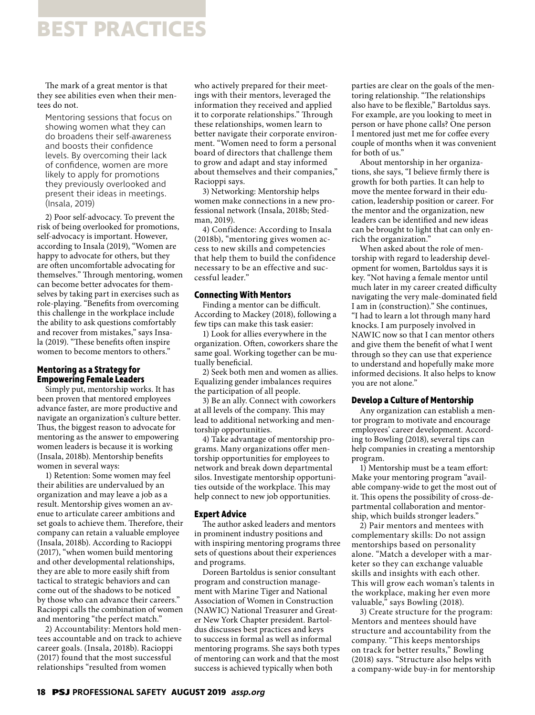## **BEST PRACTICES**

The mark of a great mentor is that they see abilities even when their mentees do not.

Mentoring sessions that focus on showing women what they can do broadens their self-awareness and boosts their confidence levels. By overcoming their lack of confidence, women are more likely to apply for promotions they previously overlooked and present their ideas in meetings. (Insala, 2019)

2) Poor self-advocacy. To prevent the risk of being overlooked for promotions, self-advocacy is important. However, according to Insala (2019), "Women are happy to advocate for others, but they are often uncomfortable advocating for themselves." Through mentoring, women can become better advocates for themselves by taking part in exercises such as role-playing. "Benefits from overcoming this challenge in the workplace include the ability to ask questions comfortably and recover from mistakes," says Insala (2019). "These benefits often inspire women to become mentors to others."

#### **Mentoring as a Strategy for Empowering Female Leaders**

Simply put, mentorship works. It has been proven that mentored employees advance faster, are more productive and navigate an organization's culture better. Thus, the biggest reason to advocate for mentoring as the answer to empowering women leaders is because it is working (Insala, 2018b). Mentorship benefits women in several ways:

1) Retention: Some women may feel their abilities are undervalued by an organization and may leave a job as a result. Mentorship gives women an avenue to articulate career ambitions and set goals to achieve them. Therefore, their company can retain a valuable employee (Insala, 2018b). According to Racioppi (2017), "when women build mentoring and other developmental relationships, they are able to more easily shift from tactical to strategic behaviors and can come out of the shadows to be noticed by those who can advance their careers." Racioppi calls the combination of women and mentoring "the perfect match."

2) Accountability: Mentors hold mentees accountable and on track to achieve career goals. (Insala, 2018b). Racioppi (2017) found that the most successful relationships "resulted from women

who actively prepared for their meetings with their mentors, leveraged the information they received and applied it to corporate relationships." Through these relationships, women learn to better navigate their corporate environment. "Women need to form a personal board of directors that challenge them to grow and adapt and stay informed about themselves and their companies," Racioppi says.

3) Networking: Mentorship helps women make connections in a new professional network (Insala, 2018b; Stedman, 2019).

4) Confidence: According to Insala (2018b), "mentoring gives women access to new skills and competencies that help them to build the confidence necessary to be an effective and successful leader."

#### **Connecting With Mentors**

Finding a mentor can be difficult. According to Mackey (2018), following a few tips can make this task easier:

1) Look for allies everywhere in the organization. Often, coworkers share the same goal. Working together can be mutually beneficial.

2) Seek both men and women as allies. Equalizing gender imbalances requires the participation of all people.

3) Be an ally. Connect with coworkers at all levels of the company. This may lead to additional networking and mentorship opportunities.

4) Take advantage of mentorship programs. Many organizations offer mentorship opportunities for employees to network and break down departmental silos. Investigate mentorship opportunities outside of the workplace. This may help connect to new job opportunities.

#### **Expert Advice**

The author asked leaders and mentors in prominent industry positions and with inspiring mentoring programs three sets of questions about their experiences and programs.

Doreen Bartoldus is senior consultant program and construction management with Marine Tiger and National Association of Women in Construction (NAWIC) National Treasurer and Greater New York Chapter president. Bartoldus discusses best practices and keys to success in formal as well as informal mentoring programs. She says both types of mentoring can work and that the most success is achieved typically when both

parties are clear on the goals of the mentoring relationship. "The relationships also have to be flexible," Bartoldus says. For example, are you looking to meet in person or have phone calls? One person I mentored just met me for coffee every couple of months when it was convenient for both of us."

About mentorship in her organizations, she says, "I believe firmly there is growth for both parties. It can help to move the mentee forward in their education, leadership position or career. For the mentor and the organization, new leaders can be identified and new ideas can be brought to light that can only enrich the organization."

When asked about the role of mentorship with regard to leadership development for women, Bartoldus says it is key. "Not having a female mentor until much later in my career created difficulty navigating the very male-dominated field I am in (construction)." She continues, "I had to learn a lot through many hard knocks. I am purposely involved in NAWIC now so that I can mentor others and give them the benefit of what I went through so they can use that experience to understand and hopefully make more informed decisions. It also helps to know you are not alone."

#### **Develop a Culture of Mentorship**

Any organization can establish a mentor program to motivate and encourage employees' career development. According to Bowling (2018), several tips can help companies in creating a mentorship program.

1) Mentorship must be a team effort: Make your mentoring program "available company-wide to get the most out of it. This opens the possibility of cross-departmental collaboration and mentorship, which builds stronger leaders."

2) Pair mentors and mentees with complementary skills: Do not assign mentorships based on personality alone. "Match a developer with a marketer so they can exchange valuable skills and insights with each other. This will grow each woman's talents in the workplace, making her even more valuable," says Bowling (2018).

3) Create structure for the program: Mentors and mentees should have structure and accountability from the company. "This keeps mentorships on track for better results," Bowling (2018) says. "Structure also helps with a company-wide buy-in for mentorship